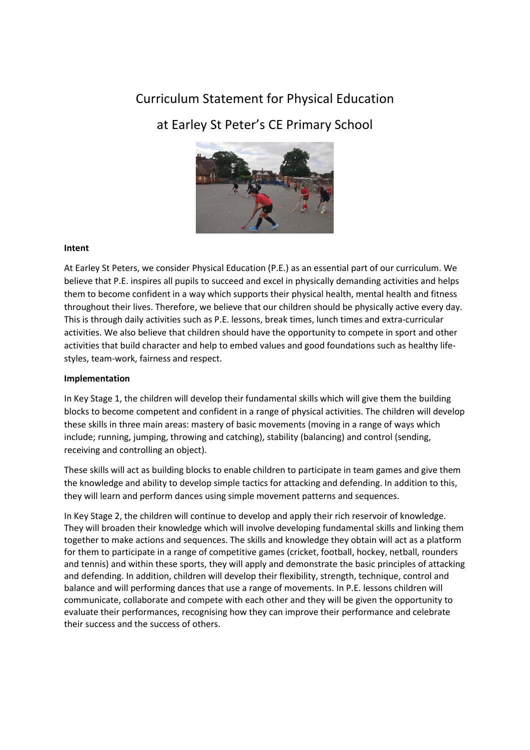# Curriculum Statement for Physical Education

## at Earley St Peter's CE Primary School



### **Intent**

At Earley St Peters, we consider Physical Education (P.E.) as an essential part of our curriculum. We believe that P.E. inspires all pupils to succeed and excel in physically demanding activities and helps them to become confident in a way which supports their physical health, mental health and fitness throughout their lives. Therefore, we believe that our children should be physically active every day. This is through daily activities such as P.E. lessons, break times, lunch times and extra-curricular activities. We also believe that children should have the opportunity to compete in sport and other activities that build character and help to embed values and good foundations such as healthy lifestyles, team-work, fairness and respect.

#### **Implementation**

In Key Stage 1, the children will develop their fundamental skills which will give them the building blocks to become competent and confident in a range of physical activities. The children will develop these skills in three main areas: mastery of basic movements (moving in a range of ways which include; running, jumping, throwing and catching), stability (balancing) and control (sending, receiving and controlling an object).

These skills will act as building blocks to enable children to participate in team games and give them the knowledge and ability to develop simple tactics for attacking and defending. In addition to this, they will learn and perform dances using simple movement patterns and sequences.

In Key Stage 2, the children will continue to develop and apply their rich reservoir of knowledge. They will broaden their knowledge which will involve developing fundamental skills and linking them together to make actions and sequences. The skills and knowledge they obtain will act as a platform for them to participate in a range of competitive games (cricket, football, hockey, netball, rounders and tennis) and within these sports, they will apply and demonstrate the basic principles of attacking and defending. In addition, children will develop their flexibility, strength, technique, control and balance and will performing dances that use a range of movements. In P.E. lessons children will communicate, collaborate and compete with each other and they will be given the opportunity to evaluate their performances, recognising how they can improve their performance and celebrate their success and the success of others.